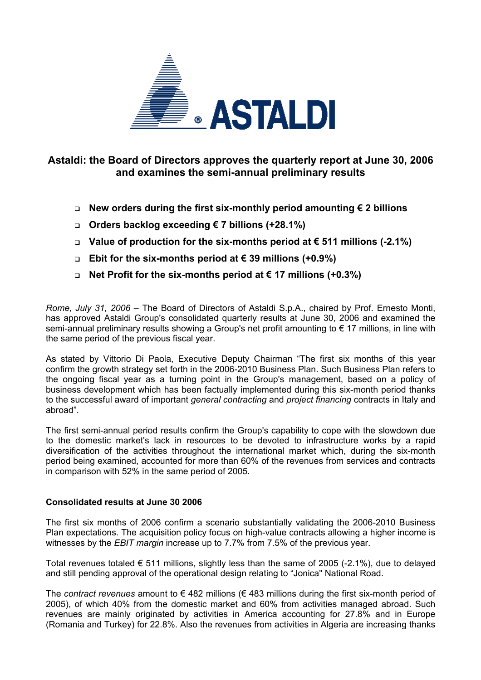

# **Astaldi: the Board of Directors approves the quarterly report at June 30, 2006 and examines the semi-annual preliminary results**

- **New orders during the first six-monthly period amounting € 2 billions**
- **Orders backlog exceeding € 7 billions (+28.1%)**
- **Value of production for the six-months period at € 511 millions (-2.1%)**
- **Ebit for the six-months period at € 39 millions (+0.9%)**
- **Net Profit for the six-months period at € 17 millions (+0.3%)**

*Rome, July 31, 2006* – The Board of Directors of Astaldi S.p.A., chaired by Prof. Ernesto Monti, has approved Astaldi Group's consolidated quarterly results at June 30, 2006 and examined the semi-annual preliminary results showing a Group's net profit amounting to € 17 millions, in line with the same period of the previous fiscal year.

As stated by Vittorio Di Paola, Executive Deputy Chairman "The first six months of this year confirm the growth strategy set forth in the 2006-2010 Business Plan. Such Business Plan refers to the ongoing fiscal year as a turning point in the Group's management, based on a policy of business development which has been factually implemented during this six-month period thanks to the successful award of important *general contracting* and *project financing* contracts in Italy and abroad".

The first semi-annual period results confirm the Group's capability to cope with the slowdown due to the domestic market's lack in resources to be devoted to infrastructure works by a rapid diversification of the activities throughout the international market which, during the six-month period being examined, accounted for more than 60% of the revenues from services and contracts in comparison with 52% in the same period of 2005.

# **Consolidated results at June 30 2006**

The first six months of 2006 confirm a scenario substantially validating the 2006-2010 Business Plan expectations. The acquisition policy focus on high-value contracts allowing a higher income is witnesses by the *EBIT margin* increase up to 7.7% from 7.5% of the previous year.

Total revenues totaled  $\epsilon$  511 millions, slightly less than the same of 2005 (-2.1%), due to delayed and still pending approval of the operational design relating to "Jonica" National Road.

The *contract revenues* amount to € 482 millions (€ 483 millions during the first six-month period of 2005), of which 40% from the domestic market and 60% from activities managed abroad. Such revenues are mainly originated by activities in America accounting for 27.8% and in Europe (Romania and Turkey) for 22.8%. Also the revenues from activities in Algeria are increasing thanks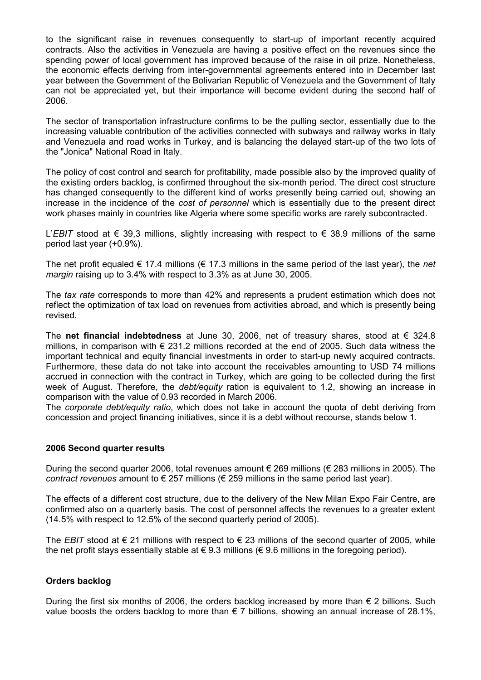to the significant raise in revenues consequently to start-up of important recently acquired contracts. Also the activities in Venezuela are having a positive effect on the revenues since the spending power of local government has improved because of the raise in oil prize. Nonetheless, the economic effects deriving from inter-governmental agreements entered into in December last year between the Government of the Bolivarian Republic of Venezuela and the Government of Italy can not be appreciated yet, but their importance will become evident during the second half of 2006.

The sector of transportation infrastructure confirms to be the pulling sector, essentially due to the increasing valuable contribution of the activities connected with subways and railway works in Italy and Venezuela and road works in Turkey, and is balancing the delayed start-up of the two lots of the "Jonica" National Road in Italy.

The policy of cost control and search for profitability, made possible also by the improved quality of the existing orders backlog, is confirmed throughout the six-month period. The direct cost structure has changed consequently to the different kind of works presently being carried out, showing an increase in the incidence of the *cost of personnel* which is essentially due to the present direct work phases mainly in countries like Algeria where some specific works are rarely subcontracted.

L'*EBIT* stood at € 39,3 millions, slightly increasing with respect to € 38.9 millions of the same period last year (+0.9%).

The net profit equaled € 17.4 millions (€ 17.3 millions in the same period of the last year), the *net margin* raising up to 3.4% with respect to 3.3% as at June 30, 2005.

The *tax rate* corresponds to more than 42% and represents a prudent estimation which does not reflect the optimization of tax load on revenues from activities abroad, and which is presently being revised.

The **net financial indebtedness** at June 30, 2006, net of treasury shares, stood at € 324.8 millions, in comparison with  $\epsilon$  231.2 millions recorded at the end of 2005. Such data witness the important technical and equity financial investments in order to start-up newly acquired contracts. Furthermore, these data do not take into account the receivables amounting to USD 74 millions accrued in connection with the contract in Turkey, which are going to be collected during the first week of August. Therefore, the *debt/equity* ration is equivalent to 1.2, showing an increase in comparison with the value of 0.93 recorded in March 2006.

The *corporate debt/equity ratio*, which does not take in account the quota of debt deriving from concession and project financing initiatives, since it is a debt without recourse, stands below 1.

## **2006 Second quarter results**

During the second quarter 2006, total revenues amount € 269 millions (€ 283 millions in 2005). The *contract revenues* amount to € 257 millions (€ 259 millions in the same period last year).

The effects of a different cost structure, due to the delivery of the New Milan Expo Fair Centre, are confirmed also on a quarterly basis. The cost of personnel affects the revenues to a greater extent (14.5% with respect to 12.5% of the second quarterly period of 2005).

The *EBIT* stood at  $\epsilon$  21 millions with respect to  $\epsilon$  23 millions of the second quarter of 2005, while the net profit stays essentially stable at  $\epsilon$  9.3 millions ( $\epsilon$  9.6 millions in the foregoing period).

# **Orders backlog**

During the first six months of 2006, the orders backlog increased by more than  $\epsilon$  2 billions. Such value boosts the orders backlog to more than  $\epsilon$  7 billions, showing an annual increase of 28.1%,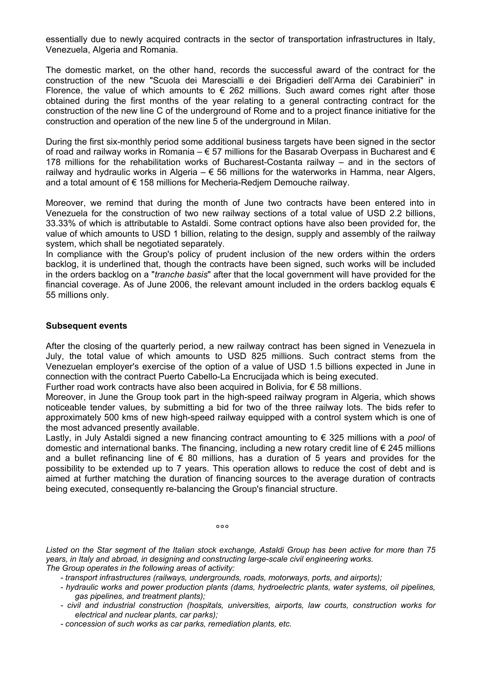essentially due to newly acquired contracts in the sector of transportation infrastructures in Italy, Venezuela, Algeria and Romania.

The domestic market, on the other hand, records the successful award of the contract for the construction of the new "Scuola dei Marescialli e dei Brigadieri dell'Arma dei Carabinieri" in Florence, the value of which amounts to  $\epsilon$  262 millions. Such award comes right after those obtained during the first months of the year relating to a general contracting contract for the construction of the new line C of the underground of Rome and to a project finance initiative for the construction and operation of the new line 5 of the underground in Milan.

During the first six-monthly period some additional business targets have been signed in the sector of road and railway works in Romania –  $\epsilon$  57 millions for the Basarab Overpass in Bucharest and  $\epsilon$ 178 millions for the rehabilitation works of Bucharest-Costanta railway – and in the sectors of railway and hydraulic works in Algeria  $-\epsilon$  56 millions for the waterworks in Hamma, near Algers, and a total amount of € 158 millions for Mecheria-Redjem Demouche railway.

Moreover, we remind that during the month of June two contracts have been entered into in Venezuela for the construction of two new railway sections of a total value of USD 2.2 billions, 33.33% of which is attributable to Astaldi. Some contract options have also been provided for, the value of which amounts to USD 1 billion, relating to the design, supply and assembly of the railway system, which shall be negotiated separately.

In compliance with the Group's policy of prudent inclusion of the new orders within the orders backlog, it is underlined that, though the contracts have been signed, such works will be included in the orders backlog on a "*tranche basis*" after that the local government will have provided for the financial coverage. As of June 2006, the relevant amount included in the orders backlog equals  $\epsilon$ 55 millions only.

## **Subsequent events**

After the closing of the quarterly period, a new railway contract has been signed in Venezuela in July, the total value of which amounts to USD 825 millions. Such contract stems from the Venezuelan employer's exercise of the option of a value of USD 1.5 billions expected in June in connection with the contract Puerto Cabello-La Encrucijada which is being executed.

Further road work contracts have also been acquired in Bolivia, for  $\epsilon$  58 millions.

Moreover, in June the Group took part in the high-speed railway program in Algeria, which shows noticeable tender values, by submitting a bid for two of the three railway lots. The bids refer to approximately 500 kms of new high-speed railway equipped with a control system which is one of the most advanced presently available.

Lastly, in July Astaldi signed a new financing contract amounting to € 325 millions with a *pool* of domestic and international banks. The financing, including a new rotary credit line of € 245 millions and a bullet refinancing line of  $\epsilon$  80 millions, has a duration of 5 years and provides for the possibility to be extended up to 7 years. This operation allows to reduce the cost of debt and is aimed at further matching the duration of financing sources to the average duration of contracts being executed, consequently re-balancing the Group's financial structure.

 $\sim$ °°° $\sim$ °°° $\sim$ °°° $\sim$ °°

*Listed on the Star segment of the Italian stock exchange, Astaldi Group has been active for more than 75 years, in Italy and abroad, in designing and constructing large-scale civil engineering works. The Group operates in the following areas of activity:* 

- *transport infrastructures (railways, undergrounds, roads, motorways, ports, and airports);*
- *hydraulic works and power production plants (dams, hydroelectric plants, water systems, oil pipelines, gas pipelines, and treatment plants);*
- *civil and industrial construction (hospitals, universities, airports, law courts, construction works for electrical and nuclear plants, car parks);*
- *concession of such works as car parks, remediation plants, etc.*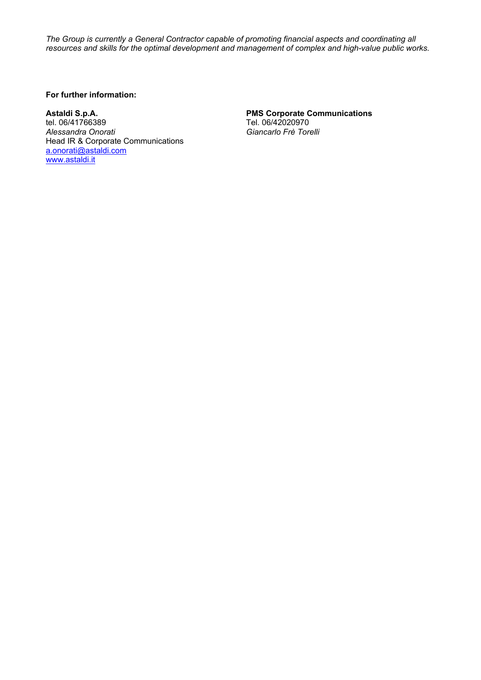*The Group is currently a General Contractor capable of promoting financial aspects and coordinating all resources and skills for the optimal development and management of complex and high-value public works.* 

## **For further information:**

Astaldi S.p.A. **Astaldi S.p.A.** PMS Corporate Communications **PMS Corporate Communications Tel. 06/42020970** *Alessandra Onorati Giancarlo Frè Torelli*  Head IR & Corporate Communications [a.onorati@astaldi.com](mailto:a.onorati@astaldi.com) [www.astaldi.it](http://www.astaldi.it/)

Tel. 06/42020970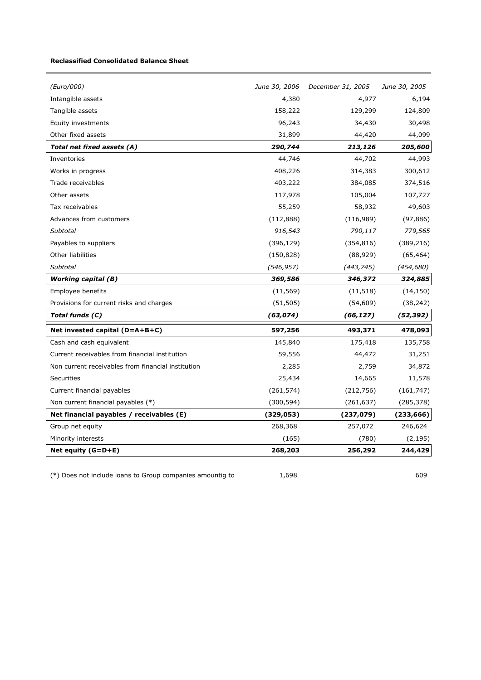#### **Reclassified Consolidated Balance Sheet**

| (Euro/000)                                         | June 30, 2006 | December 31, 2005 | June 30, 2005 |
|----------------------------------------------------|---------------|-------------------|---------------|
| Intangible assets                                  | 4,380         | 4,977             | 6,194         |
| Tangible assets                                    | 158,222       | 129,299           | 124,809       |
| Equity investments                                 | 96,243        | 34,430            | 30,498        |
| Other fixed assets                                 | 31,899        | 44,420            | 44,099        |
| Total net fixed assets (A)                         | 290,744       | 213,126           | 205,600       |
| Inventories                                        | 44,746        | 44,702            | 44,993        |
| Works in progress                                  | 408,226       | 314,383           | 300,612       |
| Trade receivables                                  | 403,222       | 384,085           | 374,516       |
| Other assets                                       | 117,978       | 105,004           | 107,727       |
| Tax receivables                                    | 55,259        | 58,932            | 49,603        |
| Advances from customers                            | (112, 888)    | (116,989)         | (97, 886)     |
| Subtotal                                           | 916,543       | 790,117           | 779,565       |
| Payables to suppliers                              | (396, 129)    | (354, 816)        | (389, 216)    |
| Other liabilities                                  | (150, 828)    | (88, 929)         | (65, 464)     |
| Subtotal                                           | (546, 957)    | (443, 745)        | (454, 680)    |
| <b>Working capital (B)</b>                         | 369,586       | 346,372           | 324,885       |
| Employee benefits                                  | (11, 569)     | (11, 518)         | (14, 150)     |
| Provisions for current risks and charges           | (51, 505)     | (54, 609)         | (38, 242)     |
| Total funds (C)                                    | (63, 074)     | (66, 127)         | (52, 392)     |
| Net invested capital (D=A+B+C)                     | 597,256       | 493,371           | 478,093       |
| Cash and cash equivalent                           | 145,840       | 175,418           | 135,758       |
| Current receivables from financial institution     | 59,556        | 44,472            | 31,251        |
| Non current receivables from financial institution | 2,285         | 2,759             | 34,872        |
| <b>Securities</b>                                  | 25,434        | 14,665            | 11,578        |
| Current financial payables                         | (261, 574)    | (212, 756)        | (161, 747)    |
| Non current financial payables (*)                 | (300, 594)    | (261, 637)        | (285, 378)    |
| Net financial payables / receivables (E)           | (329, 053)    | (237, 079)        | (233, 666)    |
| Group net equity                                   | 268,368       | 257,072           | 246,624       |
| Minority interests                                 | (165)         | (780)             | (2, 195)      |
| Net equity $(G=D+E)$                               | 268,203       | 256,292           | 244,429       |

 $(*)$  Does not include loans to Group companies amountig to  $1,698$  609